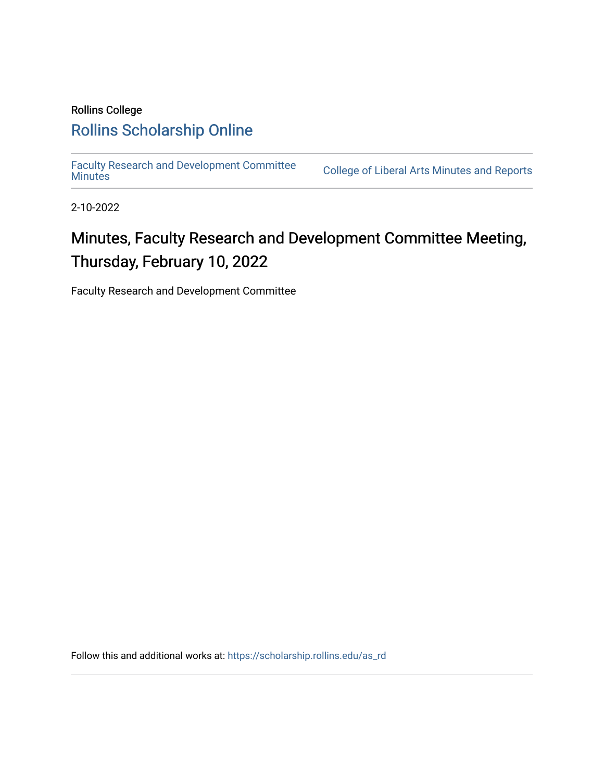# Rollins College [Rollins Scholarship Online](https://scholarship.rollins.edu/)

[Faculty Research and Development Committee](https://scholarship.rollins.edu/as_rd)

College of Liberal Arts [Minutes](https://scholarship.rollins.edu/as_rd) and Reports

2-10-2022

# Minutes, Faculty Research and Development Committee Meeting, Thursday, February 10, 2022

Faculty Research and Development Committee

Follow this and additional works at: [https://scholarship.rollins.edu/as\\_rd](https://scholarship.rollins.edu/as_rd?utm_source=scholarship.rollins.edu%2Fas_rd%2F22&utm_medium=PDF&utm_campaign=PDFCoverPages)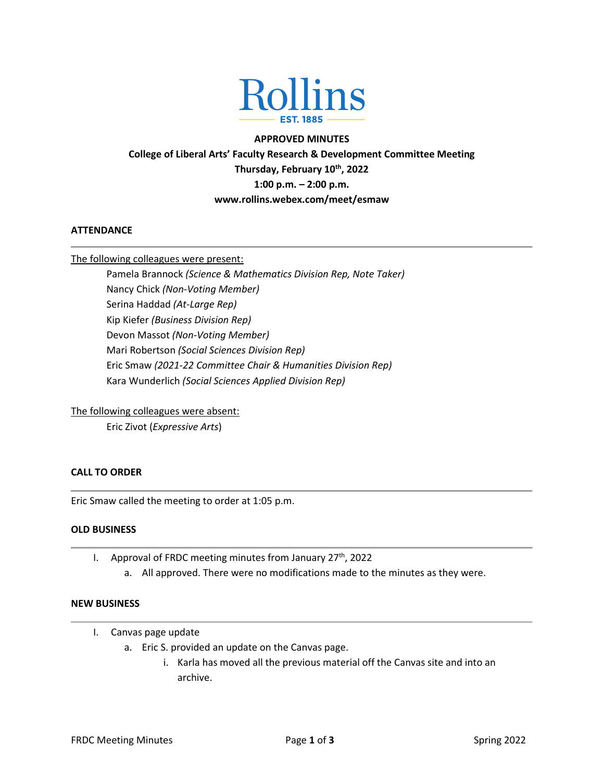

#### **APPROVED MINUTES**

**College of Liberal Arts' Faculty Research & Development Committee Meeting Thursday, February 10th, 2022 1:00 p.m. – 2:00 p.m. www.rollins.webex.com/meet/esmaw**

#### **ATTENDANCE**

#### The following colleagues were present:

Pamela Brannock *(Science & Mathematics Division Rep, Note Taker)* Nancy Chick *(Non-Voting Member)* Serina Haddad *(At-Large Rep)* Kip Kiefer *(Business Division Rep)* Devon Massot *(Non-Voting Member)* Mari Robertson *(Social Sciences Division Rep)* Eric Smaw *(2021-22 Committee Chair & Humanities Division Rep)* Kara Wunderlich *(Social Sciences Applied Division Rep)*

#### The following colleagues were absent:

Eric Zivot (*Expressive Arts*)

# **CALL TO ORDER**

Eric Smaw called the meeting to order at 1:05 p.m.

#### **OLD BUSINESS**

- I. Approval of FRDC meeting minutes from January 27<sup>th</sup>, 2022
	- a. All approved. There were no modifications made to the minutes as they were.

# **NEW BUSINESS**

- I. Canvas page update
	- a. Eric S. provided an update on the Canvas page.
		- i. Karla has moved all the previous material off the Canvas site and into an archive.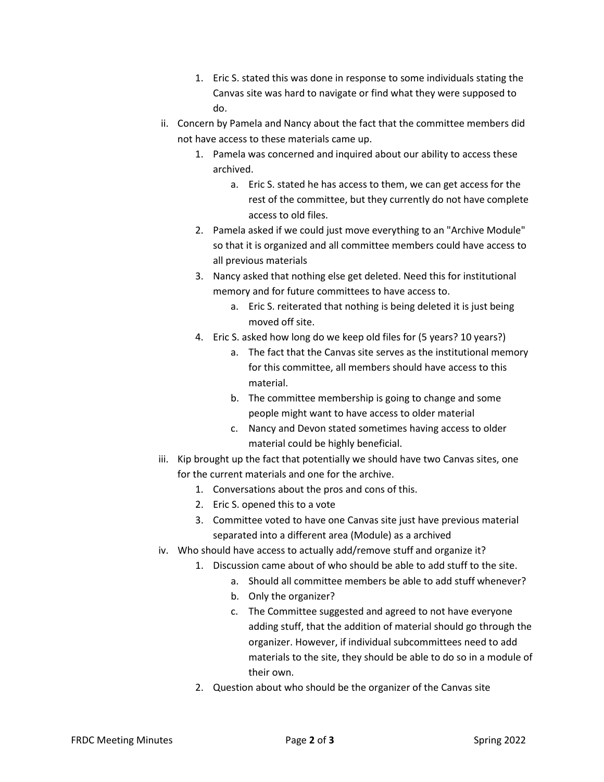- 1. Eric S. stated this was done in response to some individuals stating the Canvas site was hard to navigate or find what they were supposed to do.
- ii. Concern by Pamela and Nancy about the fact that the committee members did not have access to these materials came up.
	- 1. Pamela was concerned and inquired about our ability to access these archived.
		- a. Eric S. stated he has access to them, we can get access for the rest of the committee, but they currently do not have complete access to old files.
	- 2. Pamela asked if we could just move everything to an "Archive Module" so that it is organized and all committee members could have access to all previous materials
	- 3. Nancy asked that nothing else get deleted. Need this for institutional memory and for future committees to have access to.
		- a. Eric S. reiterated that nothing is being deleted it is just being moved off site.
	- 4. Eric S. asked how long do we keep old files for (5 years? 10 years?)
		- a. The fact that the Canvas site serves as the institutional memory for this committee, all members should have access to this material.
		- b. The committee membership is going to change and some people might want to have access to older material
		- c. Nancy and Devon stated sometimes having access to older material could be highly beneficial.
- iii. Kip brought up the fact that potentially we should have two Canvas sites, one for the current materials and one for the archive.
	- 1. Conversations about the pros and cons of this.
	- 2. Eric S. opened this to a vote
	- 3. Committee voted to have one Canvas site just have previous material separated into a different area (Module) as a archived
- iv. Who should have access to actually add/remove stuff and organize it?
	- 1. Discussion came about of who should be able to add stuff to the site.
		- a. Should all committee members be able to add stuff whenever?
		- b. Only the organizer?
		- c. The Committee suggested and agreed to not have everyone adding stuff, that the addition of material should go through the organizer. However, if individual subcommittees need to add materials to the site, they should be able to do so in a module of their own.
	- 2. Question about who should be the organizer of the Canvas site